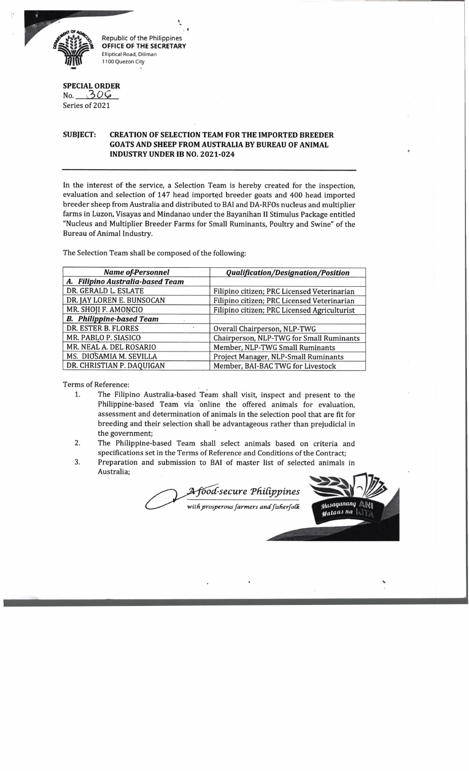

Republic of the Philippines **OFFICE OF THE SECRETARY** Elliptical Road, Diliman 1100 Quezon City

## **SPECIAL ORDER**

No. *C h O O* Series of 2021

## **SUBJECT: CREATION OF SELECTION TEAM FOR THE IMPORTED BREEDER GOATS AND SHEEP FROM AUSTRALIA BY BUREAU OF ANIMAL INDUSTRY UNDER IB NO. 2021-024**

In the interest of the service, a Selection Team is hereby created for the inspection, evaluation and selection of 147 head imported breeder goats and 400 head imported breeder sheep from Australia and distributed to BAI and DA-RFOs nucleus and multiplier farms in Luzon, Visayas and Mindanao under the Bayanihan II Stimulus Package entitled "Nucleus and Multiplier Breeder Farms for Small Ruminants, Poultry and Swine" of the Bureau of Animal Industry.

The Selection Team shall be composed of the following:

| <b>Name of Personnel</b>         | <b>Qualification/Designation/Position</b>    |
|----------------------------------|----------------------------------------------|
| A. Filipino Australia-based Team |                                              |
| DR. GERALD L. ESLATE             | Filipino citizen; PRC Licensed Veterinarian  |
| DR. JAY LOREN E. BUNSOCAN        | Filipino citizen; PRC Licensed Veterinarian  |
| MR. SHOJI F. AMONCIO             | Filipino citizen; PRC Licensed Agriculturist |
| <b>B.</b> Philippine-based Team  |                                              |
| DR. ESTER B. FLORES              | Overall Chairperson, NLP-TWG                 |
| MR. PABLO P. SIASICO             | Chairperson, NLP-TWG for Small Ruminants     |
| MR. NEAL A. DEL ROSARIO          | Member, NLP-TWG Small Ruminants              |
| MS. DIOSAMIA M. SEVILLA          | Project Manager, NLP-Small Ruminants         |
| DR. CHRISTIAN P. DAQUIGAN        | Member, BAI-BAC TWG for Livestock            |

Terms of Reference:

- 1. The Filipino Australia-based Team shall visit, inspect and present to the Philippine-based Team via online the offered animals for evaluation, assessment and determination of animals in the selection pool that are fit for breeding and their selection shall be advantageous rather than prejudicial in the government;
- 2. The Philippine-based Team shall select animals based on criteria and specifications set in the Terms of Reference and Conditions of the Contract;
- 3. Preparation and submission to BAI of master list of selected animals in Australia;

*foocC-secure TkiCippines*

*wilfiprosperous farmers andfisfierfoCk*

*\*

Masaganang  $eta$ ataas na